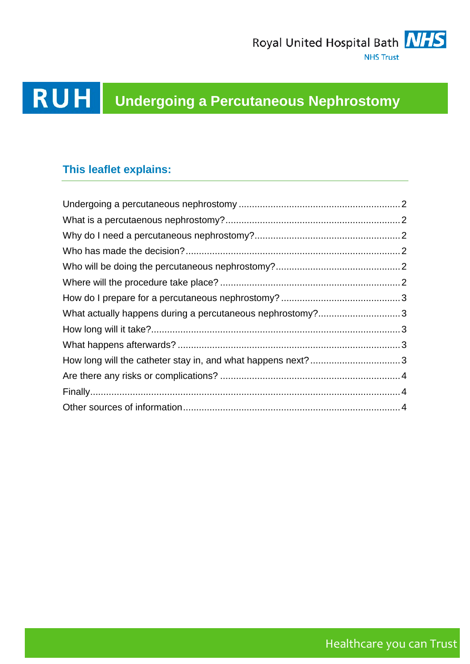

# **RUH** Undergoing a Percutaneous Nephrostomy

### **This leaflet explains:**

| What actually happens during a percutaneous nephrostomy?3   |  |
|-------------------------------------------------------------|--|
|                                                             |  |
|                                                             |  |
| How long will the catheter stay in, and what happens next?3 |  |
|                                                             |  |
|                                                             |  |
|                                                             |  |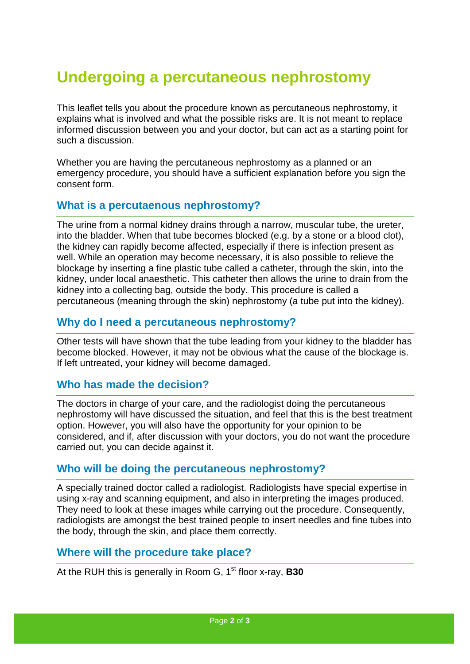## <span id="page-1-0"></span>**Undergoing a percutaneous nephrostomy**

This leaflet tells you about the procedure known as percutaneous nephrostomy, it explains what is involved and what the possible risks are. It is not meant to replace informed discussion between you and your doctor, but can act as a starting point for such a discussion.

Whether you are having the percutaneous nephrostomy as a planned or an emergency procedure, you should have a sufficient explanation before you sign the consent form.

#### <span id="page-1-1"></span>**What is a percutaenous nephrostomy?**

The urine from a normal kidney drains through a narrow, muscular tube, the ureter, into the bladder. When that tube becomes blocked (e.g. by a stone or a blood clot), the kidney can rapidly become affected, especially if there is infection present as well. While an operation may become necessary, it is also possible to relieve the blockage by inserting a fine plastic tube called a catheter, through the skin, into the kidney, under local anaesthetic. This catheter then allows the urine to drain from the kidney into a collecting bag, outside the body. This procedure is called a percutaneous (meaning through the skin) nephrostomy (a tube put into the kidney).

#### <span id="page-1-2"></span>**Why do I need a percutaneous nephrostomy?**

Other tests will have shown that the tube leading from your kidney to the bladder has become blocked. However, it may not be obvious what the cause of the blockage is. If left untreated, your kidney will become damaged.

#### <span id="page-1-3"></span>**Who has made the decision?**

The doctors in charge of your care, and the radiologist doing the percutaneous nephrostomy will have discussed the situation, and feel that this is the best treatment option. However, you will also have the opportunity for your opinion to be considered, and if, after discussion with your doctors, you do not want the procedure carried out, you can decide against it.

#### <span id="page-1-4"></span>**Who will be doing the percutaneous nephrostomy?**

A specially trained doctor called a radiologist. Radiologists have special expertise in using x-ray and scanning equipment, and also in interpreting the images produced. They need to look at these images while carrying out the procedure. Consequently, radiologists are amongst the best trained people to insert needles and fine tubes into the body, through the skin, and place them correctly.

#### <span id="page-1-5"></span>**Where will the procedure take place?**

At the RUH this is generally in Room G, 1<sup>st</sup> floor x-ray, **B30**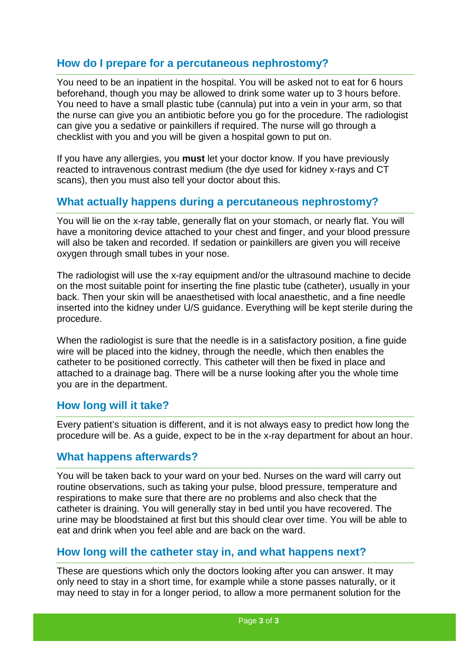#### <span id="page-2-0"></span>**How do I prepare for a percutaneous nephrostomy?**

You need to be an inpatient in the hospital. You will be asked not to eat for 6 hours beforehand, though you may be allowed to drink some water up to 3 hours before. You need to have a small plastic tube (cannula) put into a vein in your arm, so that the nurse can give you an antibiotic before you go for the procedure. The radiologist can give you a sedative or painkillers if required. The nurse will go through a checklist with you and you will be given a hospital gown to put on.

If you have any allergies, you **must** let your doctor know. If you have previously reacted to intravenous contrast medium (the dye used for kidney x-rays and CT scans), then you must also tell your doctor about this.

#### <span id="page-2-1"></span>**What actually happens during a percutaneous nephrostomy?**

You will lie on the x-ray table, generally flat on your stomach, or nearly flat. You will have a monitoring device attached to your chest and finger, and your blood pressure will also be taken and recorded. If sedation or painkillers are given you will receive oxygen through small tubes in your nose.

The radiologist will use the x-ray equipment and/or the ultrasound machine to decide on the most suitable point for inserting the fine plastic tube (catheter), usually in your back. Then your skin will be anaesthetised with local anaesthetic, and a fine needle inserted into the kidney under U/S guidance. Everything will be kept sterile during the procedure.

When the radiologist is sure that the needle is in a satisfactory position, a fine guide wire will be placed into the kidney, through the needle, which then enables the catheter to be positioned correctly. This catheter will then be fixed in place and attached to a drainage bag. There will be a nurse looking after you the whole time you are in the department.

#### <span id="page-2-2"></span>**How long will it take?**

Every patient's situation is different, and it is not always easy to predict how long the procedure will be. As a guide, expect to be in the x-ray department for about an hour.

#### <span id="page-2-3"></span>**What happens afterwards?**

You will be taken back to your ward on your bed. Nurses on the ward will carry out routine observations, such as taking your pulse, blood pressure, temperature and respirations to make sure that there are no problems and also check that the catheter is draining. You will generally stay in bed until you have recovered. The urine may be bloodstained at first but this should clear over time. You will be able to eat and drink when you feel able and are back on the ward.

#### <span id="page-2-4"></span>**How long will the catheter stay in, and what happens next?**

These are questions which only the doctors looking after you can answer. It may only need to stay in a short time, for example while a stone passes naturally, or it may need to stay in for a longer period, to allow a more permanent solution for the